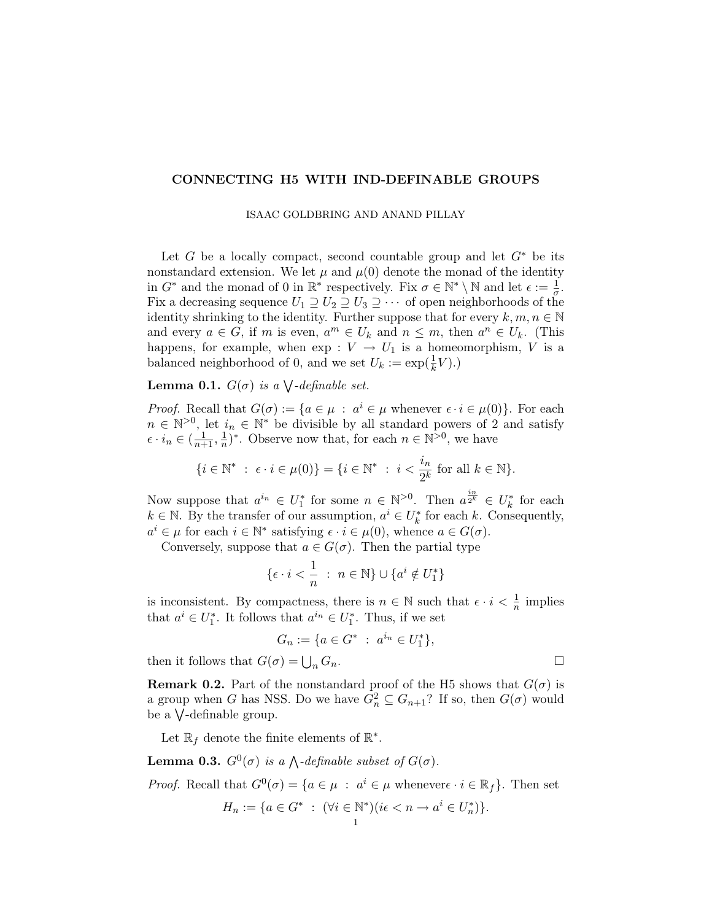## CONNECTING H5 WITH IND-DEFINABLE GROUPS

ISAAC GOLDBRING AND ANAND PILLAY

Let G be a locally compact, second countable group and let  $G^*$  be its nonstandard extension. We let  $\mu$  and  $\mu$ (0) denote the monad of the identity in  $G^*$  and the monad of 0 in  $\mathbb{R}^*$  respectively. Fix  $\sigma \in \mathbb{N}^* \setminus \mathbb{N}$  and let  $\epsilon := \frac{1}{\sigma}$ . Fix a decreasing sequence  $U_1 \supseteq U_2 \supseteq U_3 \supseteq \cdots$  of open neighborhoods of the identity shrinking to the identity. Further suppose that for every  $k, m, n \in \mathbb{N}$ and every  $a \in G$ , if m is even,  $a^m \in U_k$  and  $n \leq m$ , then  $a^n \in U_k$ . (This happens, for example, when  $\exp: V \to U_1$  is a homeomorphism, V is a balanced neighborhood of 0, and we set  $U_k := \exp(\frac{1}{k}V)$ .)

**Lemma 0.1.**  $G(\sigma)$  is a  $\bigvee$ -definable set.

*Proof.* Recall that  $G(\sigma) := \{a \in \mu : a^i \in \mu \text{ whenever } \epsilon \cdot i \in \mu(0)\}.$  For each  $n \in \mathbb{N}^{>0}$ , let  $i_n \in \mathbb{N}^*$  be divisible by all standard powers of 2 and satisfy  $\epsilon \cdot i_n \in (\frac{1}{n+1}, \frac{1}{n})$  $\frac{1}{n}$ <sup>\*</sup>. Observe now that, for each  $n \in \mathbb{N}^{>0}$ , we have

$$
\{i\in\mathbb{N}^*\;:\;\epsilon\cdot i\in\mu(0)\}=\{i\in\mathbb{N}^*\;:\;i<\frac{i_n}{2^k}\;\text{for all}\;k\in\mathbb{N}\}.
$$

Now suppose that  $a^{i_n} \in U_1^*$  for some  $n \in \mathbb{N}^{>0}$ . Then  $a^{\frac{i_n}{2^k}} \in U_k^*$  for each  $k \in \mathbb{N}$ . By the transfer of our assumption,  $a^i \in U_k^*$  for each k. Consequently,  $a^i \in \mu$  for each  $i \in \mathbb{N}^*$  satisfying  $\epsilon \cdot i \in \mu(0)$ , whence  $a \in G(\sigma)$ .

Conversely, suppose that  $a \in G(\sigma)$ . Then the partial type

$$
\{\epsilon \cdot i < \frac{1}{n} \; : \; n \in \mathbb{N}\} \cup \{a^i \notin U_1^*\}
$$

is inconsistent. By compactness, there is  $n \in \mathbb{N}$  such that  $\epsilon \cdot i < \frac{1}{n}$  implies that  $a^i \in U_1^*$ . It follows that  $a^{i_n} \in U_1^*$ . Thus, if we set

$$
G_n := \{ a \in G^* \; : \; a^{i_n} \in U_1^* \},
$$

then it follows that  $G(\sigma) = \bigcup_n G_n$ .  $n G_n$ .

**Remark 0.2.** Part of the nonstandard proof of the H5 shows that  $G(\sigma)$  is a group when G has NSS. Do we have  $G_n^2 \subseteq G_{n+1}$ ? If so, then  $G(\sigma)$  would be a W -definable group.

Let  $\mathbb{R}_f$  denote the finite elements of  $\mathbb{R}^*$ .

**Lemma 0.3.**  $G^0(\sigma)$  is a  $\bigwedge$ -definable subset of  $G(\sigma)$ .

*Proof.* Recall that  $G^0(\sigma) = \{a \in \mu : a^i \in \mu \text{ whenever } i \in \mathbb{R}_f\}$ . Then set

$$
H_n := \{ a \in G^* \; : \; (\forall i \in \mathbb{N}^*)(i\epsilon < n \to a^i \in U_n^*) \}.
$$